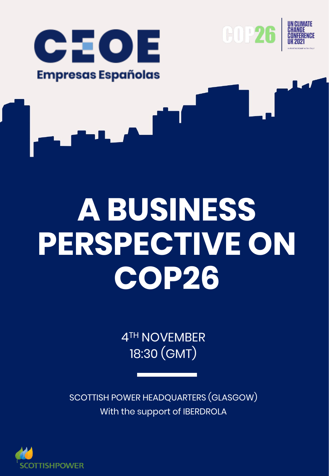





# **A BUSINESS PERSPECTIVE ON COP26**

4TH NOVEMBER 18:30 (GMT)

SCOTTISH POWER HEADQUARTERS (GLASGOW) With the support of IBERDROLA

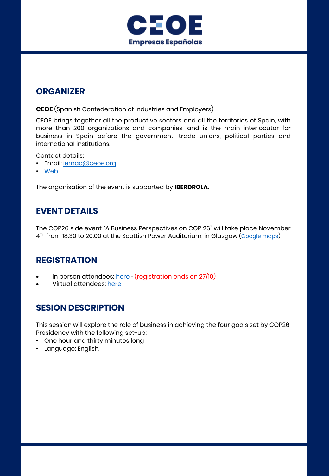

## **ORGANIZER**

**CEOE** (Spanish Confederation of Industries and Employers)

CEOE brings together all the productive sectors and all the territories of Spain, with more than 200 organizations and companies, and is the main interlocutor for business in Spain before the government, trade unions, political parties and international institutions.

Contact details:

- Email: jemac@ceoe.org;
- [Web](https://www.ceoe.es/es)

The organisation of the event is supported by **IBERDROLA**.

## **EVENT DETAILS**

The COP26 side event "A Business Perspectives on COP 26" will take place November 4<sup>TH</sup> from 18:30 to 20:00 at the Scottish Power Auditorium, in Glasgow [\(Google](https://goo.gl/maps/26S64UQae4azqLLh9) maps).

## **REGISTRATION**

- In person attendees: [here](https://www.eventbrite.com/e/a-business-perspective-on-cop26-tickets-183336523477) (registration ends on 27/10)
- Virtual attendees: [here](https://www.eventbrite.com/e/a-business-perspective-on-cop26-virtual-attendees-tickets-173481707457)

## **SESION DESCRIPTION**

This session will explore the role of business in achieving the four goals set by COP26 Presidency with the following set-up:

- One hour and thirty minutes long
- Language: English.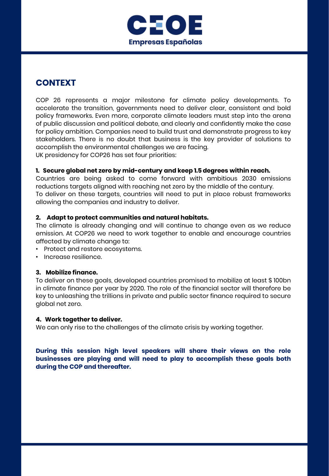

## **CONTEXT**

COP 26 represents a major milestone for climate policy developments. To accelerate the transition, governments need to deliver clear, consistent and bold policy frameworks. Even more, corporate climate leaders must step into the arena of public discussion and political debate, and clearly and confidently make the case for policy ambition. Companies need to build trust and demonstrate progress to key stakeholders. There is no doubt that business is the key provider of solutions to accomplish the environmental challenges we are facing. UK presidency for COP26 has set four priorities:

#### **1. Secure global net zero by mid-century and keep 1.5 degrees within reach.** Countries are being asked to come forward with ambitious 2030 emissions

reductions targets aligned with reaching net zero by the middle of the century. To deliver on these targets, countries will need to put in place robust frameworks allowing the companies and industry to deliver.

#### **2. Adapt to protect communities and natural habitats.**

The climate is already changing and will continue to change even as we reduce emission. At COP26 we need to work together to enable and encourage countries affected by climate change to:

- Protect and restore ecosystems.
- Increase resilience.

#### **3. Mobilize finance.**

To deliver on these goals, developed countries promised to mobilize at least \$ 100bn in climate finance per year by 2020. The role of the financial sector will therefore be key to unleashing the trillions in private and public sector finance required to secure global net zero.

#### **4. Work together to deliver.**

We can only rise to the challenges of the climate crisis by working together.

4TH NOVEMBER **businesses are playing and will need to play to accomplish these goals both During this session high level speakers will share their views on the role during the COP and thereafter.**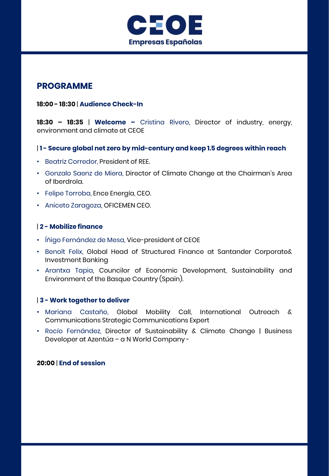

## **PROGRAMME**

#### **18:00 - 18:30** | **Audience Check-In**

**18:30 – 18:35** | **Welcome –** Cristina Rivero, Director of industry, energy, environment and climate at CEOE

#### | **1 - Secure global net zero by mid-century and keep 1.5 degrees within reach**

- Beatriz Corredor, President of REE.
- Gonzalo Saenz de Miera, Director of Climate Change at the Chairman's Area of Iberdrola.
- Felipe Torroba, Ence Energía, CEO.
- Aniceto Zaragoza, OFICEMEN CEO.

#### | **2 - Mobilize finance**

- Íñigo Fernández de Mesa, Vice-president of CEOE
- Benoît Felix, Global Head of Structured Finance at Santander Corporate& Investment Banking
- Arantxa Tapia, Councilor of Economic Development, Sustainability and Environment of the Basque Country (Spain).

#### | **3 - Work together to deliver**

- Mariana Castaño, Global Mobility Call, International Outreach & Communications Strategic Communications Expert
- Rocío Fernández, Director of Sustainability & Climate Change | Business Developer at Azentúa – a N World Company -

#### **20:00** | **End of session**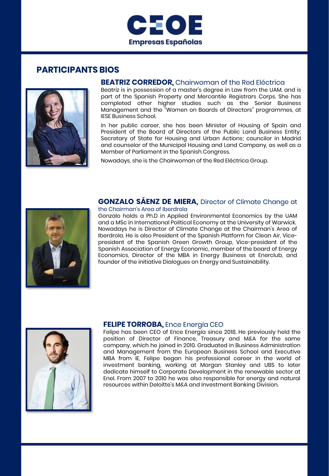



#### **BEATRIZ CORREDOR,** Chairwoman of the Red Eléctrica

Beatriz is in possession of a master's degree in Law from the UAM, and is part of the Spanish Property and Mercantile Registrars Corps. She has completed other higher studies such as the Senior Business Management and the "Women on Boards of Directors" programmes, at IESE Business School.

In her public career, she has been Minister of Housing of Spain and President of the Board of Directors of the Public Land Business Entity; Secretary of State for Housing and Urban Actions; councilor in Madrid and counselor of the Municipal Housing and Land Company, as well as a Member of Parliament in the Spanish Congress.

Nowadays, she is the Chairwoman of the Red Eléctrica Group.

## **GONZALO SÁENZ DE MIERA,** Director of Climate Change at



#### the Chairman's Area of Iberdrola

Gonzalo holds a Ph.D in Applied Environmental Economics by the UAM and a MSc in International Political Economy at the University of Warwick. Nowadays he is Director of Climate Change at the Chairman's Area of Iberdrola. He is also President of the Spanish Platform for Clean Air, Vicepresident of the Spanish Green Growth Group, Vice-president of the Spanish Association of Energy Economic, member of the board of Energy Economics, Director of the MBA in Energy Business at Enerclub, and founder of the initiative Dialogues on Energy and Sustainability.



#### **FELIPE TORROBA,** Ence Energía CEO

Felipe has been CEO of Ence Energía since 2018. He previously held the position of Director of Finance, Treasury and M&A for the same company, which he joined in 2010. Graduated in Business Administration and Management from the European Business School and Executive MBA from IE, Felipe began his professional career in the world of investment banking, working at Morgan Stanley and UBS to later dedicate himself to Corporate Development in the renewable sector at Enel. From 2007 to 2010 he was also responsible for energy and natural resources within Deloitte's M&A and Investment Banking Division.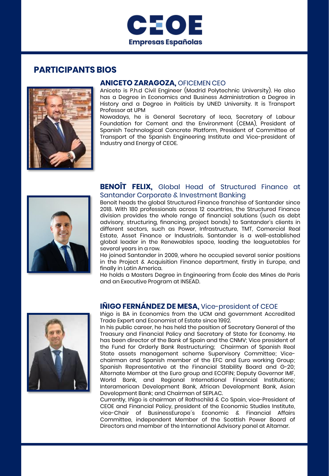



#### **ANICETO ZARAGOZA,** OFICEMEN CEO

Aniceto is P.h.d Civil Engineer (Madrid Polytechnic University). He also has a Degree in Economics and Business Administration a Degree in History and a Degree in Politicis by UNED University. It is Transport Professor at UPM

Nowadays, he is General Secretary of Ieca, Secretary of Labour Foundation for Cement and the Environment (CEMA), President of Spanish Technological Concrete Platform, President of Committee of Transport of the Spanish Engineering Institute and Vice-president of Industry and Energy of CEOE.



#### **BENOÎT FELIX,** Global Head of Structured Finance at Santander Corporate & Investment Banking

Benoit heads the global Structured Finance franchise of Santander since 2018. With 180 professionals across 12 countries, the Structured Finance division provides the whole range of financial solutions (such as debt advisory, structuring, financing, project bonds) to Santander's clients in different sectors, such as Power, Infrastructure, TMT, Comercial Real Estate, Asset Finance or Industrials. Santander is a well-established global leader in the Renewables space, leading the leaguetables for several years in a row.

He joined Santander in 2009, where he occupied several senior positions in the Project & Acquisition Finance department, firstly in Europe, and finally in Latin America.

He holds a Masters Degree in Engineering from École des Mines de Paris and an Executive Program at INSEAD.



### **IÑIGO FERNÁNDEZ DE MESA,** Vice-president of CEOE

Iñigo is BA in Economics from the UCM and government Accredited Trade Expert and Economist of Estate since 1992.

In his public career, he has held the position of Secretary General of the Treasury and Financial Policy and Secretary of State for Economy. He has been director of the Bank of Spain and the CNMV; Vice president of the Fund for Orderly Bank Restructuring; Chairman of Spanish Real State assets management scheme Supervisory Committee; Vicechairman and Spanish member of the EFC and Euro working Group; Spanish Representative at the Financial Stability Board and G-20; Alternate Member at the Euro group and ECOFIN; Deputy Governor IMF, World Bank, and Regional International Financial Institutions; Interamerican Development Bank, African Development Bank, Asian Development Bank; and Chairman of SEPLAC.

Committee, independent Member of the Scottish Power Board of Currently, Iñigo is chairman of Rothschild & Co Spain, vice-President of CEOE and Financial Policy, president of the Economic Studies Institute, vice-Chair of BusinessEurope´s Economic & Financial Affairs Directors and member of the International Advisory panel at Altamar.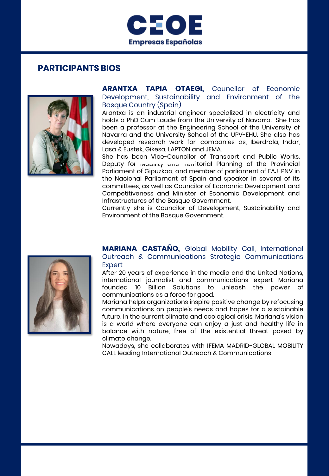



#### **ARANTXA TAPIA OTAEGI,** Councilor of Economic Development, Sustainability and Environment of the Basque Country (Spain)

Arantxa is an industrial engineer specialized in electricity and holds a PhD Cum Laude from the University of Navarra. She has been a professor at the Engineering School of the University of Navarra and the University School of the UPV-EHU. She also has developed research work for, companies as, Iberdrola, Indar, Lasa & Eustek, Gikesa, LAPTON and JEMA.

She has been Vice-Councilor of Transport and Public Works, Deputy for *wobing* and rentitorial Planning of the Provincial Parliament of Gipuzkoa, and member of parliament of EAJ-PNV in the Nacional Parliament of Spain and speaker in several of its committees, as well as Councilor of Economic Development and Competitiveness and Minister of Economic Development and Infrastructures of the Basque Government.

Currently she is Councilor of Development, Sustainability and Environment of the Basque Government.



**MARIANA CASTAÑO,** Global Mobility Call, International Outreach & Communications Strategic Communications Expert

After 20 years of experience in the media and the United Nations, international journalist and communications expert Mariana founded 10 Billion Solutions to unleash the power of communications as a force for good.

Mariana helps organizations inspire positive change by refocusing communications on people's needs and hopes for a sustainable future. In the current climate and ecological crisis, Mariana's vision is a world where everyone can enjoy a just and healthy life in balance with nature, free of the existential threat posed by climate change.

Nowadays, she collaborates with IFEMA MADRID-GLOBAL MOBILITY CALL leading International Outreach & Communications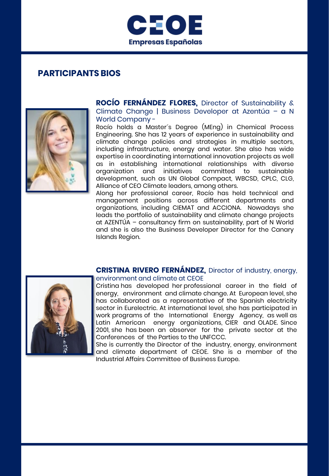



**ROCÍO FERNÁNDEZ FLORES,** Director of Sustainability & Climate Change | Business Developer at Azentúa – a N World Company -

Rocío holds a Master´s Degree (MEng) in Chemical Process Engineering. She has 12 years of experience in sustainability and climate change policies and strategies in multiple sectors, including infrastructure, energy and water. She also has wide expertise in coordinating international innovation projects as well as in establishing international relationships with diverse organization and initiatives committed to sustainable development, such as UN Global Compact, WBCSD, CPLC, CLG, Alliance of CEO Climate leaders, among others.

Along her professional career, Rocío has held technical and management positions across different departments and organizations, including CIEMAT and ACCIONA. Nowadays she leads the portfolio of sustainability and climate change projects at AZENTÚA – consultancy firm on sustainability, part of N World and she is also the Business Developer Director for the Canary Islands Region.

#### **CRISTINA RIVERO FERNÁNDEZ,** Director of industry, energy, environment and climate at CEOE

Cristina has developed her professional career in the field of energy, environment and climate change. At European level, she has collaborated as a representative of the Spanish electricity sector in Eurelectric. At international level, she has participated in work programs of the International Energy Agency, as well as Latin American energy organizations, CIER and OLADE. Since 2001, she has been an observer for the private sector at the Conferences of the Parties to the UNFCCC.

She is currently the Director of the industry, energy, environment and climate department of CEOE. She is a member of the Industrial Affairs Committee of Business Europe.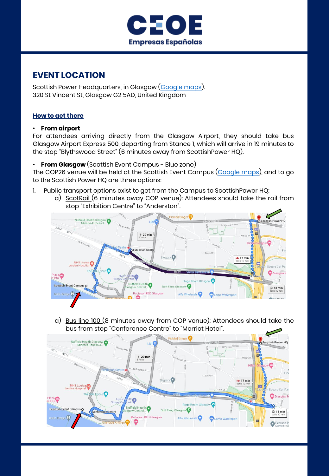

## **EVENT LOCATION**

Scottish Power Headquarters, in Glasgow ([Google maps](https://goo.gl/maps/26S64UQae4azqLLh9)). 320 St Vincent St, Glasgow G2 5AD, United Kingdom

#### **How to get there**

#### • **From airport**

For attendees arriving directly from the Glasgow Airport, they should take bus Glasgow Airport Express 500, departing from Stance 1, which will arrive in 19 minutes to the stop "Blythswood Street" (6 minutes away from ScottishPower HQ).

• **From Glasgow** (Scottish Event Campus - Blue zone)

The COP26 venue will be held at the Scottish Event Campus ([Google](https://goo.gl/maps/agYPhKGXZXZd2HLN6) maps), and to go to the Scottish Power HQ are three options:

- 1. Public transport options exist to get from the Campus to ScottishPower HQ:
	- a) ScotRail (6 minutes away COP venue): Attendees should take the rail from stop "Exhibition Centre" to "Anderston".



a) Bus line 100 (8 minutes away from COP venue): Attendees should take the bus from stop "Conference Centre" to "Merriot Hotel".